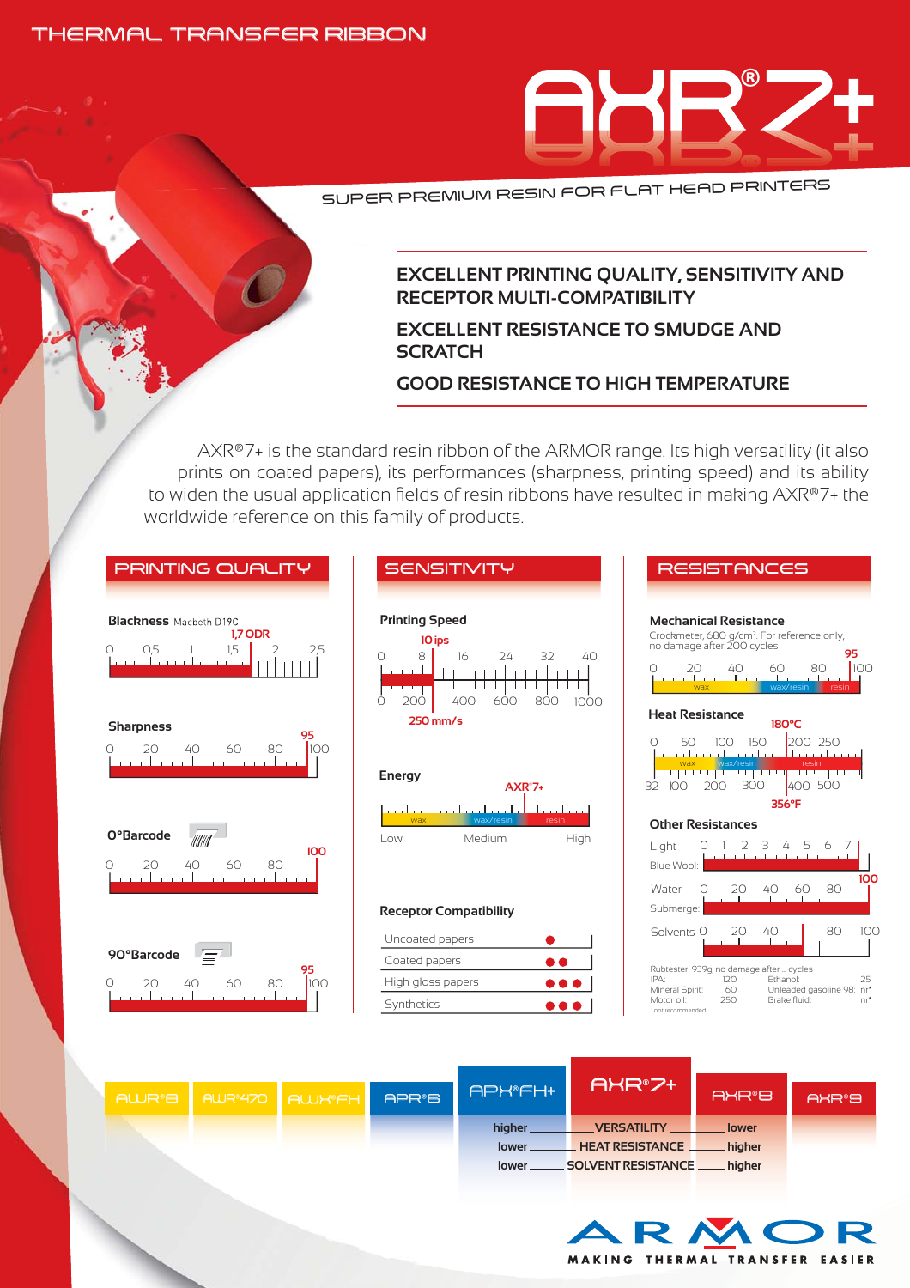### THERMAL TRANSFER RIBBON



SUPER PREMIUM RESIN FOR FLAT HEAD PRINTERS

#### **EXCELLENT PRINTING QUALITY, SENSITIVITY AND RECEPTOR MULTI-COMPATIBILITY**

# **EXCELLENT RESISTANCE TO SMUDGE AND SCRATCH**

# **GOOD RESISTANCE TO HIGH TEMPERATURE**

40

1000

AXR®7+ is the standard resin ribbon of the ARMOR range. Its high versatility (it also prints on coated papers), its performances (sharpness, printing speed) and its ability to widen the usual application fields of resin ribbons have resulted in making AXR®7+ the worldwide reference on this family of products.



| RESISTANCES                                                                                                                                                                                         |
|-----------------------------------------------------------------------------------------------------------------------------------------------------------------------------------------------------|
| <b>Mechanical Resistance</b><br>Crockmeter, 680 g/cm <sup>2</sup> . For reference only,<br>no damage after 200 cycles<br>95<br>100<br>40<br>60<br>80<br>wax/resin<br>resin                          |
| <b>Heat Resistance</b><br>180°C<br>200 250<br>$100 - 150$<br>50<br>عنصاء بمحاجب بالمتحد<br>wax wax/resin<br><u>i Max Maxyesin Mariti Mariti Mariti Ma</u><br>500<br>100<br>30<br>32<br>20           |
| 356°F<br><b>Other Resistances</b>                                                                                                                                                                   |
| Light<br>Blue Wool:                                                                                                                                                                                 |
| 100<br>Water<br>∩<br>20.<br>40<br>60<br>80<br>Submerge:                                                                                                                                             |
| 80<br>40<br>100<br>Solvents O                                                                                                                                                                       |
| Rubtester: 939g, no damage after  cycles :<br>IPA:<br>120<br>Ethanol:<br>25<br>Mineral Spirit:<br>Unleaded gasoline 98:<br>60<br>nr*<br>Brake fluid:<br>Motor oil:<br>250<br>nr*<br>not recommended |

|  |  |  | AWR®B AWR®470 AWK®FH | APR <sup>®</sup> B | APH®FH+ | AXR®7+                 | AXR®8    | AXR <sup>®</sup> 9 |
|--|--|--|----------------------|--------------------|---------|------------------------|----------|--------------------|
|  |  |  |                      |                    | higher  | <b>VERSATILITY</b>     | . lower  |                    |
|  |  |  |                      |                    | lower.  | <b>HEAT RESISTANCE</b> | higher   |                    |
|  |  |  |                      |                    | lower.  | SOLVENT RESISTANCE     | . higher |                    |